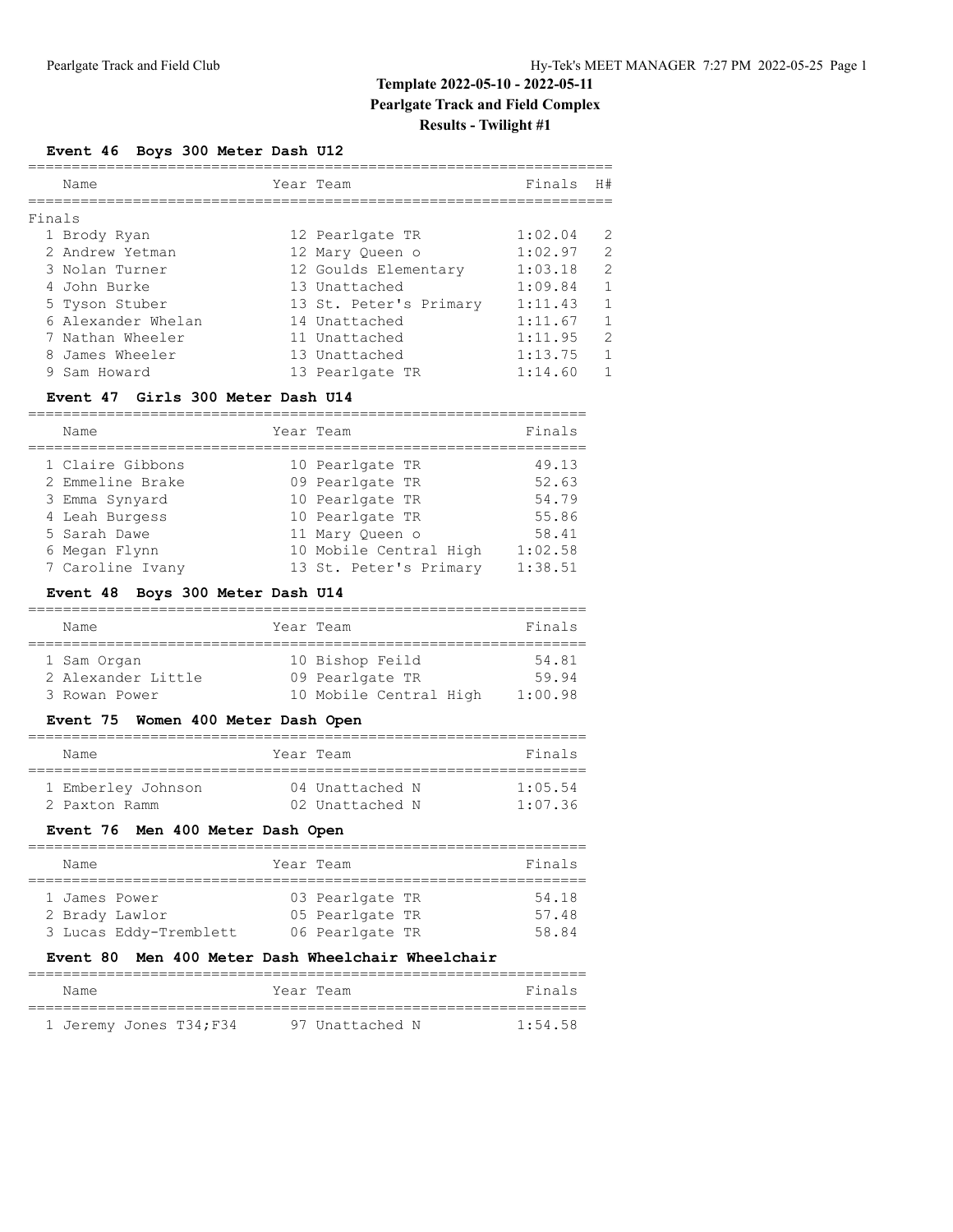## **Template 2022-05-10 - 2022-05-11 Pearlgate Track and Field Complex Results - Twilight #1**

#### **Event 46 Boys 300 Meter Dash U12**

|        | Name               | Year Team              | Finals  | H#            |
|--------|--------------------|------------------------|---------|---------------|
|        |                    |                        |         |               |
| Finals |                    |                        |         |               |
|        | 1 Brody Ryan       | 12 Pearlgate TR        | 1:02.04 | 2             |
|        | 2 Andrew Yetman    | 12 Mary Queen o        | 1:02.97 | $\mathcal{L}$ |
|        | 3 Nolan Turner     | 12 Goulds Elementary   | 1:03.18 | $\mathcal{L}$ |
|        | 4 John Burke       | 13 Unattached          | 1:09.84 | $\mathbf{1}$  |
|        | 5 Tyson Stuber     | 13 St. Peter's Primary | 1:11.43 | $\mathbf{1}$  |
|        | 6 Alexander Whelan | 14 Unattached          | 1:11.67 | $\mathbf{1}$  |
|        | 7 Nathan Wheeler   | 11 Unattached          | 1:11.95 | 2             |
|        | 8 James Wheeler    | 13 Unattached          | 1:13.75 | $\mathbf{1}$  |
|        | 9 Sam Howard       | 13 Pearlgate TR        | 1:14.60 |               |

#### **Event 47 Girls 300 Meter Dash U14**

| Name             | Year Team              | Finals  |
|------------------|------------------------|---------|
|                  |                        |         |
| 1 Claire Gibbons | 10 Pearlgate TR        | 49.13   |
| 2 Emmeline Brake | 09 Pearlgate TR        | 52.63   |
| 3 Emma Synyard   | 10 Pearlgate TR        | 54.79   |
| 4 Leah Burgess   | 10 Pearlgate TR        | 55.86   |
| 5 Sarah Dawe     | 11 Mary Oueen o        | 58.41   |
| 6 Megan Flynn    | 10 Mobile Central High | 1:02.58 |
| 7 Caroline Ivany | 13 St. Peter's Primary | 1:38.51 |

### **Event 48 Boys 300 Meter Dash U14**

| Name               | Year Team              | Finals  |
|--------------------|------------------------|---------|
|                    |                        |         |
| 1 Sam Organ        | 10 Bishop Feild        | 54.81   |
| 2 Alexander Little | 09 Pearlgate TR        | 59.94   |
| 3 Rowan Power      | 10 Mobile Central High | 1:00.98 |

### **Event 75 Women 400 Meter Dash Open**

| Name               | Year Team       | Finals  |
|--------------------|-----------------|---------|
| 1 Emberley Johnson | 04 Unattached N | 1:05.54 |
| 2 Paxton Ramm      | 02 Unattached N | 1:07.36 |

### **Event 76 Men 400 Meter Dash Open**

| Name          |                        | Year Team |                 | Finals |
|---------------|------------------------|-----------|-----------------|--------|
|               |                        |           |                 |        |
| 1 James Power |                        |           | 03 Pearlgate TR | 54.18  |
|               | 2 Brady Lawlor         |           | 05 Pearlgate TR | 57.48  |
|               | 3 Lucas Eddy-Tremblett |           | 06 Pearlgate TR | 58.84  |

### **Event 80 Men 400 Meter Dash Wheelchair Wheelchair**

| Name |                         | Year Team |                 | Finals  |
|------|-------------------------|-----------|-----------------|---------|
|      |                         |           |                 |         |
|      | 1 Jeremy Jones T34; F34 |           | 97 Unattached N | 1:54.58 |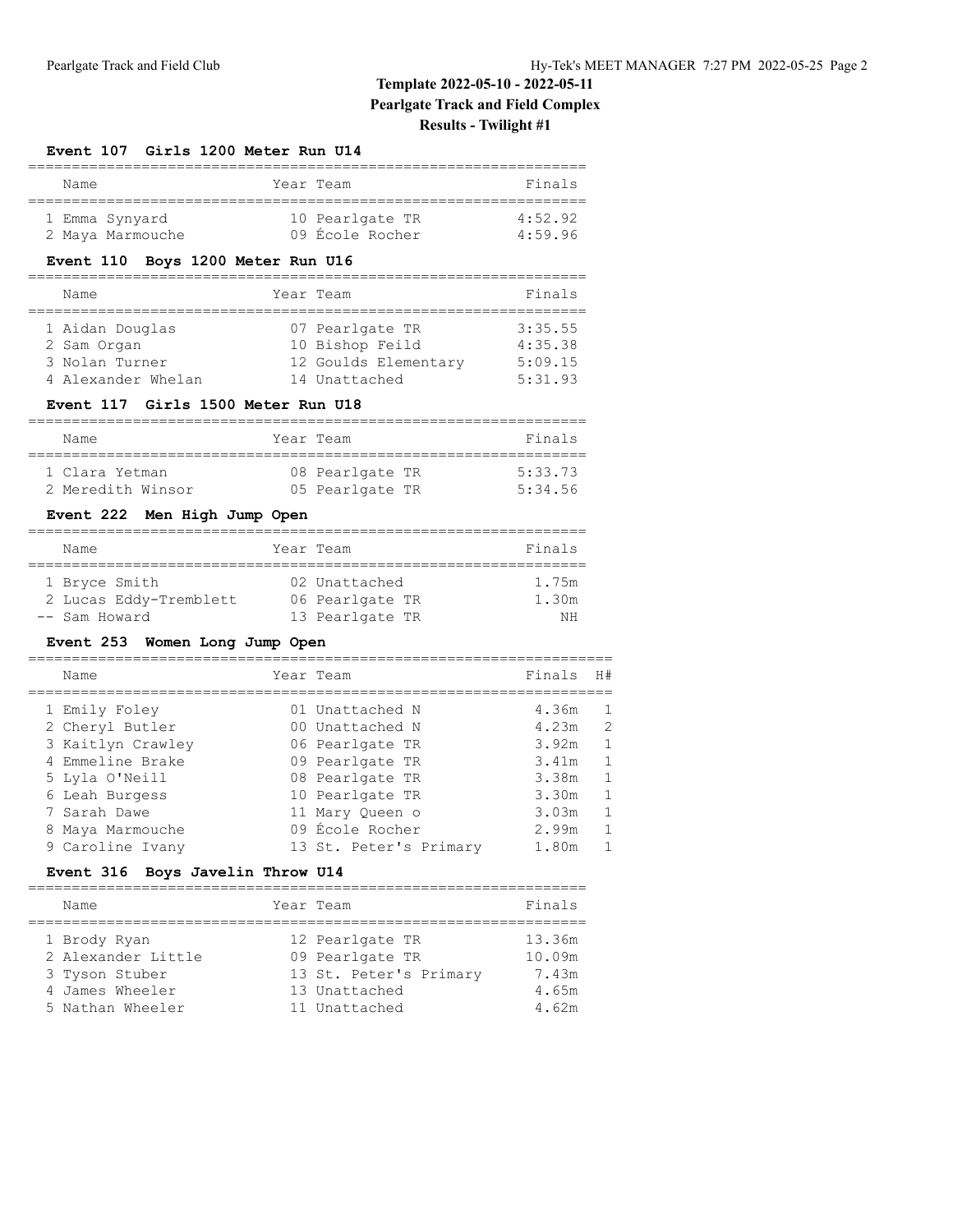## **Template 2022-05-10 - 2022-05-11 Pearlgate Track and Field Complex Results - Twilight #1**

#### **Event 107 Girls 1200 Meter Run U14**

| Name |                  | Year Team       | Finals  |
|------|------------------|-----------------|---------|
|      | 1 Emma Synyard   | 10 Pearlgate TR | 4:52.92 |
|      | 2 Maya Marmouche | 09 École Rocher | 4.5996  |

### **Event 110 Boys 1200 Meter Run U16**

## ================================================================ Year Team **Finals** ================================================================ 07 Pearlgate TR 3:35.55

| 1 Aidan Douglas    | 07 Pearlgate TR      | 3:35.55 |
|--------------------|----------------------|---------|
| 2 Sam Organ        | 10 Bishop Feild      | 4:35.38 |
| 3 Nolan Turner     | 12 Goulds Elementary | 5:09.15 |
| 4 Alexander Whelan | 14 Unattached        | 5:31.93 |

#### **Event 117 Girls 1500 Meter Run U18**

| Name              | Year Team       | Finals  |
|-------------------|-----------------|---------|
| 1 Clara Yetman    | 08 Pearlgate TR | 5:33.73 |
| 2 Meredith Winsor | 05 Pearlgate TR | 5:34.56 |

#### **Event 222 Men High Jump Open**

| Name                   | Year Team       | Finals |
|------------------------|-----------------|--------|
|                        |                 |        |
| 1 Bryce Smith          | 02 Unattached   | 1.75m  |
| 2 Lucas Eddy-Tremblett | 06 Pearlgate TR | 1.30m  |
| -- Sam Howard          | 13 Pearlgate TR | ΝH     |

### **Event 253 Women Long Jump Open**

| Name              |  | Finals                                                                                                                                                                                      | H#           |
|-------------------|--|---------------------------------------------------------------------------------------------------------------------------------------------------------------------------------------------|--------------|
| 1 Emily Foley     |  | 4.36m                                                                                                                                                                                       |              |
| 2 Cheryl Butler   |  | 4.23m                                                                                                                                                                                       | 2            |
| 3 Kaitlyn Crawley |  | 3.92m                                                                                                                                                                                       |              |
| 4 Emmeline Brake  |  | 3.41m                                                                                                                                                                                       |              |
| 5 Lyla O'Neill    |  | 3.38m                                                                                                                                                                                       |              |
| 6 Leah Burgess    |  | 3.30m                                                                                                                                                                                       | $\mathbf{1}$ |
| 7 Sarah Dawe      |  | 3.03m                                                                                                                                                                                       |              |
| 8 Maya Marmouche  |  | 2.99m                                                                                                                                                                                       |              |
| 9 Caroline Ivany  |  | 1.80m                                                                                                                                                                                       |              |
|                   |  | Year Team<br>01 Unattached N<br>00 Unattached N<br>06 Pearlgate TR<br>09 Pearlgate TR<br>08 Pearlgate TR<br>10 Pearlgate TR<br>11 Mary Oueen o<br>09 École Rocher<br>13 St. Peter's Primary |              |

### **Event 316 Boys Javelin Throw U14**

|  | Name                                                                                        |  | Year Team                                                                                      | Finals                                      |  |  |
|--|---------------------------------------------------------------------------------------------|--|------------------------------------------------------------------------------------------------|---------------------------------------------|--|--|
|  | 1 Brody Ryan<br>2 Alexander Little<br>3 Tyson Stuber<br>4 James Wheeler<br>5 Nathan Wheeler |  | 12 Pearlgate TR<br>09 Pearlgate TR<br>13 St. Peter's Primary<br>13 Unattached<br>11 Unattached | 13.36m<br>10.09m<br>7.43m<br>4.65m<br>4.62m |  |  |